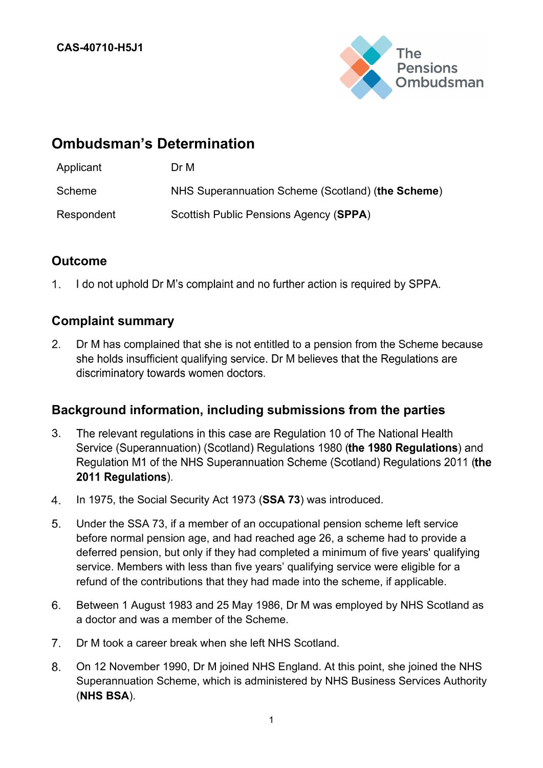

# **Ombudsman's Determination**

| Applicant  | Dr M                                              |
|------------|---------------------------------------------------|
| Scheme     | NHS Superannuation Scheme (Scotland) (the Scheme) |
| Respondent | Scottish Public Pensions Agency (SPPA)            |

## **Outcome**

 $1.$ I do not uphold Dr M's complaint and no further action is required by SPPA.

### **Complaint summary**

 $2.$ Dr M has complained that she is not entitled to a pension from the Scheme because she holds insufficient qualifying service. Dr M believes that the Regulations are discriminatory towards women doctors.

### **Background information, including submissions from the parties**

- $3.$ The relevant regulations in this case are Regulation 10 of The National Health Service (Superannuation) (Scotland) Regulations 1980 (the 1980 Regulations) and Regulation M1 of the NHS Superannuation Scheme (Scotland) Regulations 2011 (the 2011 Regulations).
- $4.$ In 1975, the Social Security Act 1973 (**SSA 73**) was introduced.
- 5. Under the SSA 73, if a member of an occupational pension scheme left service before normal pension age, and had reached age 26, a scheme had to provide a deferred pension, but only if they had completed a minimum of five years' qualifying service. Members with less than five years' qualifying service were eligible for a refund of the contributions that they had made into the scheme, if applicable.
- 6. Between 1 August 1983 and 25 May 1986, Dr M was employed by NHS Scotland as a doctor and was a member of the Scheme.
- $7<sub>1</sub>$ Dr M took a career break when she left NHS Scotland.
- 8. On 12 November 1990, Dr M joined NHS England. At this point, she joined the NHS Superannuation Scheme, which is administered by NHS Business Services Authority (**NHS BSA**).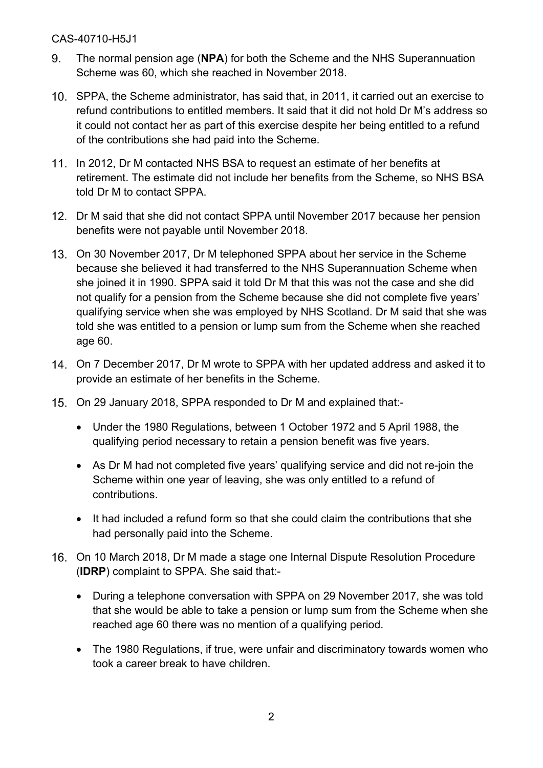- 9. The normal pension age (**NPA**) for both the Scheme and the NHS Superannuation Scheme was 60, which she reached in November 2018.
- 10. SPPA, the Scheme administrator, has said that, in 2011, it carried out an exercise to refund contributions to entitled members. It said that it did not hold Dr M's address so it could not contact her as part of this exercise despite her being entitled to a refund of the contributions she had paid into the Scheme.
- 11. In 2012, Dr M contacted NHS BSA to request an estimate of her benefits at retirement. The estimate did not include her benefits from the Scheme, so NHS BSA told Dr M to contact SPPA.
- 12. Dr M said that she did not contact SPPA until November 2017 because her pension benefits were not payable until November 2018.
- On 30 November 2017, Dr M telephoned SPPA about her service in the Scheme because she believed it had transferred to the NHS Superannuation Scheme when she joined it in 1990. SPPA said it told Dr M that this was not the case and she did not qualify for a pension from the Scheme because she did not complete five years' qualifying service when she was employed by NHS Scotland. Dr M said that she was told she was entitled to a pension or lump sum from the Scheme when she reached age 60.
- On 7 December 2017, Dr M wrote to SPPA with her updated address and asked it to provide an estimate of her benefits in the Scheme.
- On 29 January 2018, SPPA responded to Dr M and explained that:-
	- Under the 1980 Regulations, between 1 October 1972 and 5 April 1988, the qualifying period necessary to retain a pension benefit was five years.
	- As Dr M had not completed five years' qualifying service and did not re-join the Scheme within one year of leaving, she was only entitled to a refund of contributions.
	- It had included a refund form so that she could claim the contributions that she had personally paid into the Scheme.
- On 10 March 2018, Dr M made a stage one Internal Dispute Resolution Procedure (**IDRP**) complaint to SPPA. She said that:-
	- During a telephone conversation with SPPA on 29 November 2017, she was told that she would be able to take a pension or lump sum from the Scheme when she reached age 60 there was no mention of a qualifying period.
	- The 1980 Regulations, if true, were unfair and discriminatory towards women who took a career break to have children.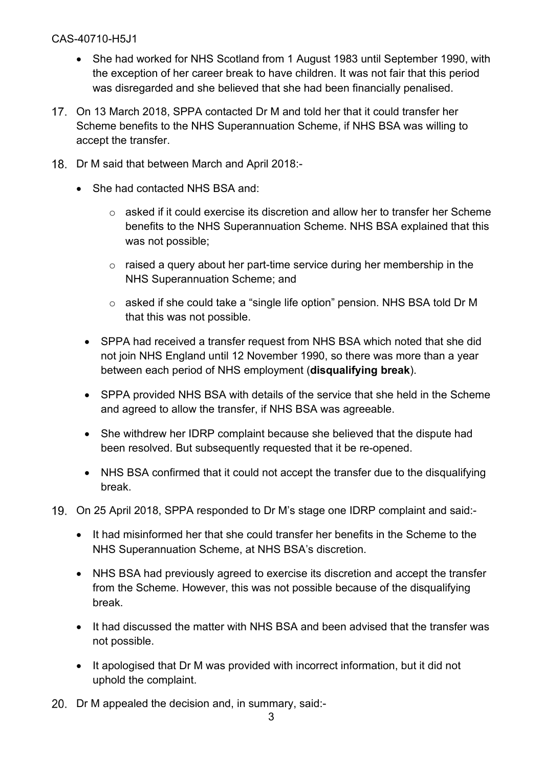- She had worked for NHS Scotland from 1 August 1983 until September 1990, with the exception of her career break to have children. It was not fair that this period was disregarded and she believed that she had been financially penalised.
- On 13 March 2018, SPPA contacted Dr M and told her that it could transfer her Scheme benefits to the NHS Superannuation Scheme, if NHS BSA was willing to accept the transfer.
- 18. Dr M said that between March and April 2018:-
	- She had contacted NHS BSA and:
		- o asked if it could exercise its discretion and allow her to transfer her Scheme benefits to the NHS Superannuation Scheme. NHS BSA explained that this was not possible;
		- $\circ$  raised a query about her part-time service during her membership in the NHS Superannuation Scheme; and
		- o asked if she could take a "single life option" pension. NHS BSA told Dr M that this was not possible.
		- SPPA had received a transfer request from NHS BSA which noted that she did not join NHS England until 12 November 1990, so there was more than a year between each period of NHS employment (**disqualifying break**).
		- SPPA provided NHS BSA with details of the service that she held in the Scheme and agreed to allow the transfer, if NHS BSA was agreeable.
		- She withdrew her IDRP complaint because she believed that the dispute had been resolved. But subsequently requested that it be re-opened.
		- NHS BSA confirmed that it could not accept the transfer due to the disqualifying break.
- On 25 April 2018, SPPA responded to Dr M's stage one IDRP complaint and said:-
	- It had misinformed her that she could transfer her benefits in the Scheme to the NHS Superannuation Scheme, at NHS BSA's discretion.
	- NHS BSA had previously agreed to exercise its discretion and accept the transfer from the Scheme. However, this was not possible because of the disqualifying break.
	- It had discussed the matter with NHS BSA and been advised that the transfer was not possible.
	- It apologised that Dr M was provided with incorrect information, but it did not uphold the complaint.
- 20. Dr M appealed the decision and, in summary, said:-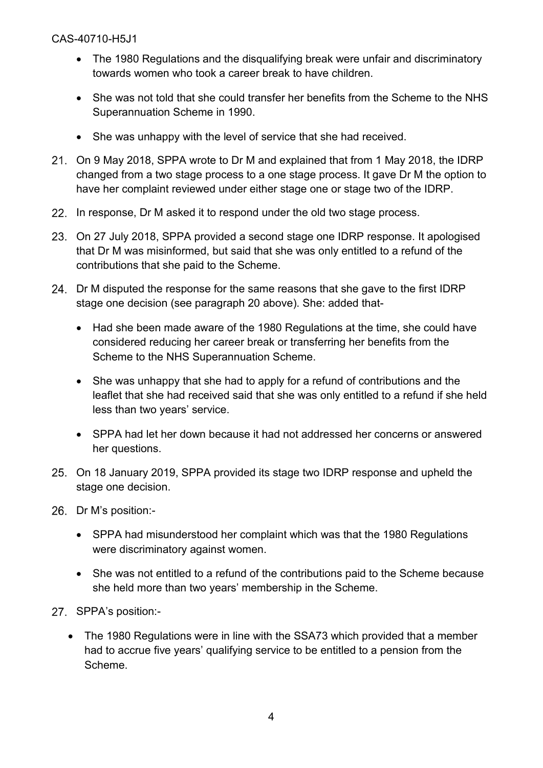- The 1980 Regulations and the disqualifying break were unfair and discriminatory towards women who took a career break to have children.
- She was not told that she could transfer her benefits from the Scheme to the NHS Superannuation Scheme in 1990.
- She was unhappy with the level of service that she had received.
- On 9 May 2018, SPPA wrote to Dr M and explained that from 1 May 2018, the IDRP changed from a two stage process to a one stage process. It gave Dr M the option to have her complaint reviewed under either stage one or stage two of the IDRP.
- 22. In response, Dr M asked it to respond under the old two stage process.
- On 27 July 2018, SPPA provided a second stage one IDRP response. It apologised that Dr M was misinformed, but said that she was only entitled to a refund of the contributions that she paid to the Scheme.
- 24. Dr M disputed the response for the same reasons that she gave to the first IDRP stage one decision (see paragraph 20 above). She: added that-
	- Had she been made aware of the 1980 Regulations at the time, she could have considered reducing her career break or transferring her benefits from the Scheme to the NHS Superannuation Scheme.
	- She was unhappy that she had to apply for a refund of contributions and the leaflet that she had received said that she was only entitled to a refund if she held less than two years' service.
	- SPPA had let her down because it had not addressed her concerns or answered her questions.
- On 18 January 2019, SPPA provided its stage two IDRP response and upheld the stage one decision.
- 26. Dr M's position:-
	- SPPA had misunderstood her complaint which was that the 1980 Regulations were discriminatory against women.
	- She was not entitled to a refund of the contributions paid to the Scheme because she held more than two years' membership in the Scheme.
- 27. SPPA's position:-
	- The 1980 Regulations were in line with the SSA73 which provided that a member had to accrue five years' qualifying service to be entitled to a pension from the Scheme.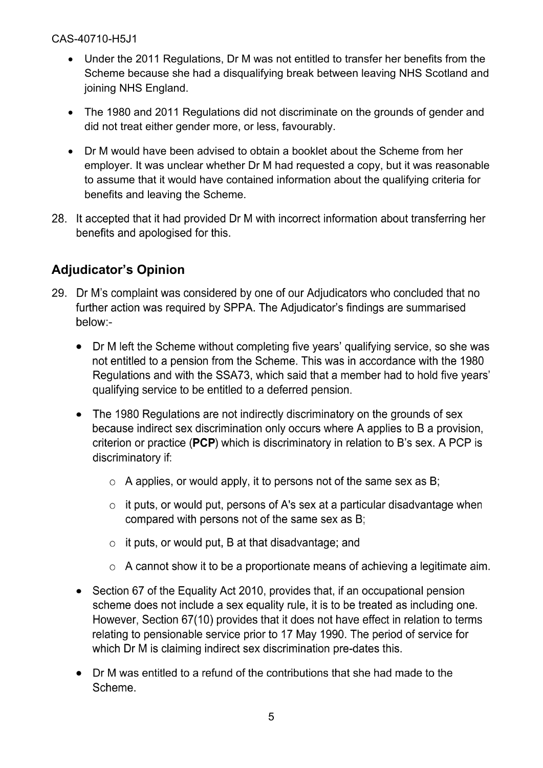- Under the 2011 Regulations, Dr M was not entitled to transfer her benefits from the Scheme because she had a disqualifying break between leaving NHS Scotland and joining NHS England.
- The 1980 and 2011 Regulations did not discriminate on the grounds of gender and did not treat either gender more, or less, favourably.
- Dr M would have been advised to obtain a booklet about the Scheme from her employer. It was unclear whether Dr M had requested a copy, but it was reasonable to assume that it would have contained information about the qualifying criteria for benefits and leaving the Scheme.
- 28. It accepted that it had provided Dr M with incorrect information about transferring her benefits and apologised for this.

# **Adjudicator's Opinion**

- 29. Dr M's complaint was considered by one of our Adjudicators who concluded that no further action was required by SPPA. The Adjudicator's findings are summarised below:-
	- Dr M left the Scheme without completing five years' qualifying service, so she was  $\bullet$ not entitled to a pension from the Scheme. This was in accordance with the 1980 Regulations and with the SSA73, which said that a member had to hold five years' qualifying service to be entitled to a deferred pension.
	- The 1980 Regulations are not indirectly discriminatory on the grounds of sex  $\bullet$ because indirect sex discrimination only occurs where A applies to B a provision, criterion or practice (PCP) which is discriminatory in relation to B's sex. A PCP is discriminatory if:
		- $\circ$  A applies, or would apply, it to persons not of the same sex as B;
		- $\circ$  it puts, or would put, persons of A's sex at a particular disadvantage when compared with persons not of the same sex as B;
		- $\circ$  it puts, or would put, B at that disadvantage; and
		- $\circ$  A cannot show it to be a proportionate means of achieving a legitimate aim.
	- Section 67 of the Equality Act 2010, provides that, if an occupational pension  $\bullet$ scheme does not include a sex equality rule, it is to be treated as including one. However, Section 67(10) provides that it does not have effect in relation to terms relating to pensionable service prior to 17 May 1990. The period of service for which Dr M is claiming indirect sex discrimination pre-dates this.
	- Dr M was entitled to a refund of the contributions that she had made to the  $\bullet$ Scheme.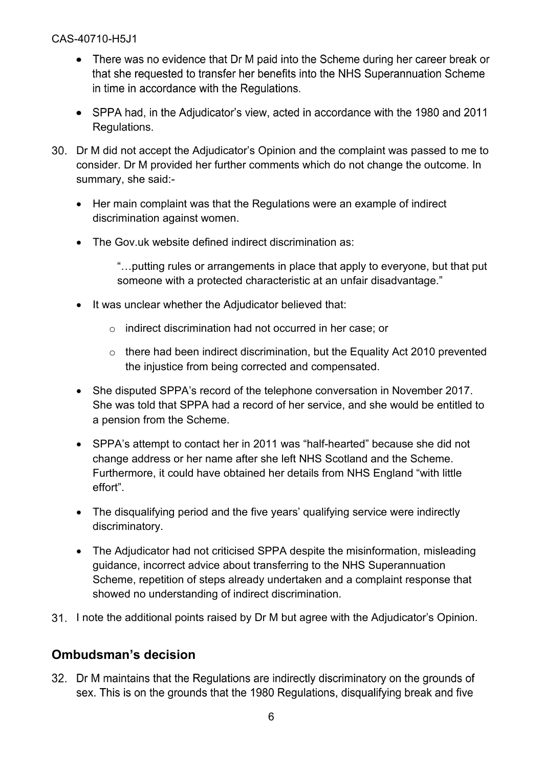- There was no evidence that Dr M paid into the Scheme during her career break or that she requested to transfer her benefits into the NHS Superannuation Scheme in time in accordance with the Regulations.
- SPPA had, in the Adjudicator's view, acted in accordance with the 1980 and 2011 Regulations.
- Dr M did not accept the Adjudicator's Opinion and the complaint was passed to me to consider. Dr M provided her further comments which do not change the outcome. In summary, she said:-
	- Her main complaint was that the Regulations were an example of indirect discrimination against women.
	- The Gov.uk website defined indirect discrimination as:

"…putting rules or arrangements in place that apply to everyone, but that put someone with a protected characteristic at an unfair disadvantage."

- It was unclear whether the Adjudicator believed that:
	- o indirect discrimination had not occurred in her case; or
	- o there had been indirect discrimination, but the Equality Act 2010 prevented the injustice from being corrected and compensated.
- She disputed SPPA's record of the telephone conversation in November 2017. She was told that SPPA had a record of her service, and she would be entitled to a pension from the Scheme.
- SPPA's attempt to contact her in 2011 was "half-hearted" because she did not change address or her name after she left NHS Scotland and the Scheme. Furthermore, it could have obtained her details from NHS England "with little effort".
- The disqualifying period and the five years' qualifying service were indirectly discriminatory.
- The Adjudicator had not criticised SPPA despite the misinformation, misleading guidance, incorrect advice about transferring to the NHS Superannuation Scheme, repetition of steps already undertaken and a complaint response that showed no understanding of indirect discrimination.
- 31. I note the additional points raised by Dr M but agree with the Adjudicator's Opinion.

## **Ombudsman's decision**

32. Dr M maintains that the Regulations are indirectly discriminatory on the grounds of sex. This is on the grounds that the 1980 Regulations, disqualifying break and five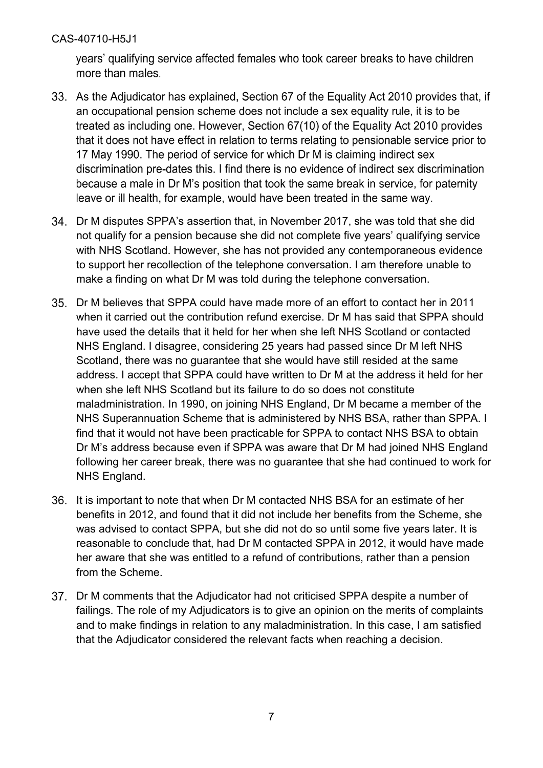years' qualifying service affected females who took career breaks to have children more than males.

- 33. As the Adjudicator has explained, Section 67 of the Equality Act 2010 provides that, if an occupational pension scheme does not include a sex equality rule, it is to be treated as including one. However, Section 67(10) of the Equality Act 2010 provides that it does not have effect in relation to terms relating to pensionable service prior to 17 May 1990. The period of service for which Dr M is claiming indirect sex discrimination pre-dates this. I find there is no evidence of indirect sex discrimination because a male in Dr M's position that took the same break in service, for paternity leave or ill health, for example, would have been treated in the same way.
- Dr M disputes SPPA's assertion that, in November 2017, she was told that she did not qualify for a pension because she did not complete five years' qualifying service with NHS Scotland. However, she has not provided any contemporaneous evidence to support her recollection of the telephone conversation. I am therefore unable to make a finding on what Dr M was told during the telephone conversation.
- Dr M believes that SPPA could have made more of an effort to contact her in 2011 when it carried out the contribution refund exercise. Dr M has said that SPPA should have used the details that it held for her when she left NHS Scotland or contacted NHS England. I disagree, considering 25 years had passed since Dr M left NHS Scotland, there was no guarantee that she would have still resided at the same address. I accept that SPPA could have written to Dr M at the address it held for her when she left NHS Scotland but its failure to do so does not constitute maladministration. In 1990, on joining NHS England, Dr M became a member of the NHS Superannuation Scheme that is administered by NHS BSA, rather than SPPA. I find that it would not have been practicable for SPPA to contact NHS BSA to obtain Dr M's address because even if SPPA was aware that Dr M had joined NHS England following her career break, there was no guarantee that she had continued to work for NHS England.
- 36. It is important to note that when Dr M contacted NHS BSA for an estimate of her benefits in 2012, and found that it did not include her benefits from the Scheme, she was advised to contact SPPA, but she did not do so until some five years later. It is reasonable to conclude that, had Dr M contacted SPPA in 2012, it would have made her aware that she was entitled to a refund of contributions, rather than a pension from the Scheme.
- Dr M comments that the Adjudicator had not criticised SPPA despite a number of failings. The role of my Adjudicators is to give an opinion on the merits of complaints and to make findings in relation to any maladministration. In this case, I am satisfied that the Adjudicator considered the relevant facts when reaching a decision.